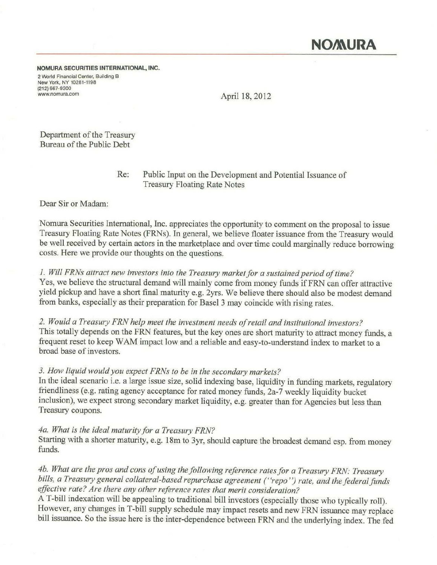NOMURA SECURITIES INTERNATIONAL, INC. 2 World Financial Center, Building B New York, NV 10281-1198 (212) 667-9300<br>www.nomura.com

April 18, 2012

Department of the Treasury Bureau of the Public Debt

> Re: Public Input on the Development and Potential Issuance of Treasury Floating Rate Notes

Dear Sir or Madam:

Nomura Securities International, Inc. appreciates the opportunity to comment on the proposal to issue Treasury Floating Rate Notes (FRNs). In general, we believe floater issuance from the Treasury would be well received by certain actors in the marketplace and over time could marginally reduce borrowing costs. Here we provide our thoughts on the questions.

## *1. Will FRNs attract new investors into the Treasury market for a sustained period of time?*

Yes, we believe the structural demand will mainly come from money funds if FRN can offer attractive yield pickup and have a short final maturity e.g. 2yrs. We believe there should also be modest demand from banks, especially as their preparation for Basel 3 may coincide with rising rates.

*2. Would a Treasury FRN help meet the investment needs of retail and institutional investors?*  This totally depends on the FRN features, but the key ones are short maturity to attract money funds, a frequent reset to keep WAM impact low and a reliable and easy-to-understand index to market to a broad base of investors.

## *3. How liquid would you expect FRNs to be in the secondary markets?*

In the ideal scenario i.e. a large issue size, solid indexing base, liquidity in funding markets, regulatory friendliness (e.g. rating agency acceptance for rated money funds, 2a-7 weekly liquidity bucket inclusion), we expect strong secondary market liquidity, e.g. greater than for Agencies but less than Treasury coupons.

*4a. What is the ideal maturity for a Treasury FRN?* 

Starting with a shorter maturity, e.g. 18m to 3yr, should capture the broadest demand esp. from money funds.

*4b. What are the pros and cons of using the following reference rates for a Treasury FRN: Treasury bills, a Treasury general collateral-based repurchase agreement (' 'repo'') rate, and the federal funds effective rate? Are there any other reference rates that merit consideration?* 

A T-bill indexation will be appealing to traditional bill investors (especially those who typically roll). However, any changes in T-bill supply schedule may impact resets and new FRN issuance may replace bill issuance. So the issue here is the inter-dependence between FRN and the underlying index. The fed